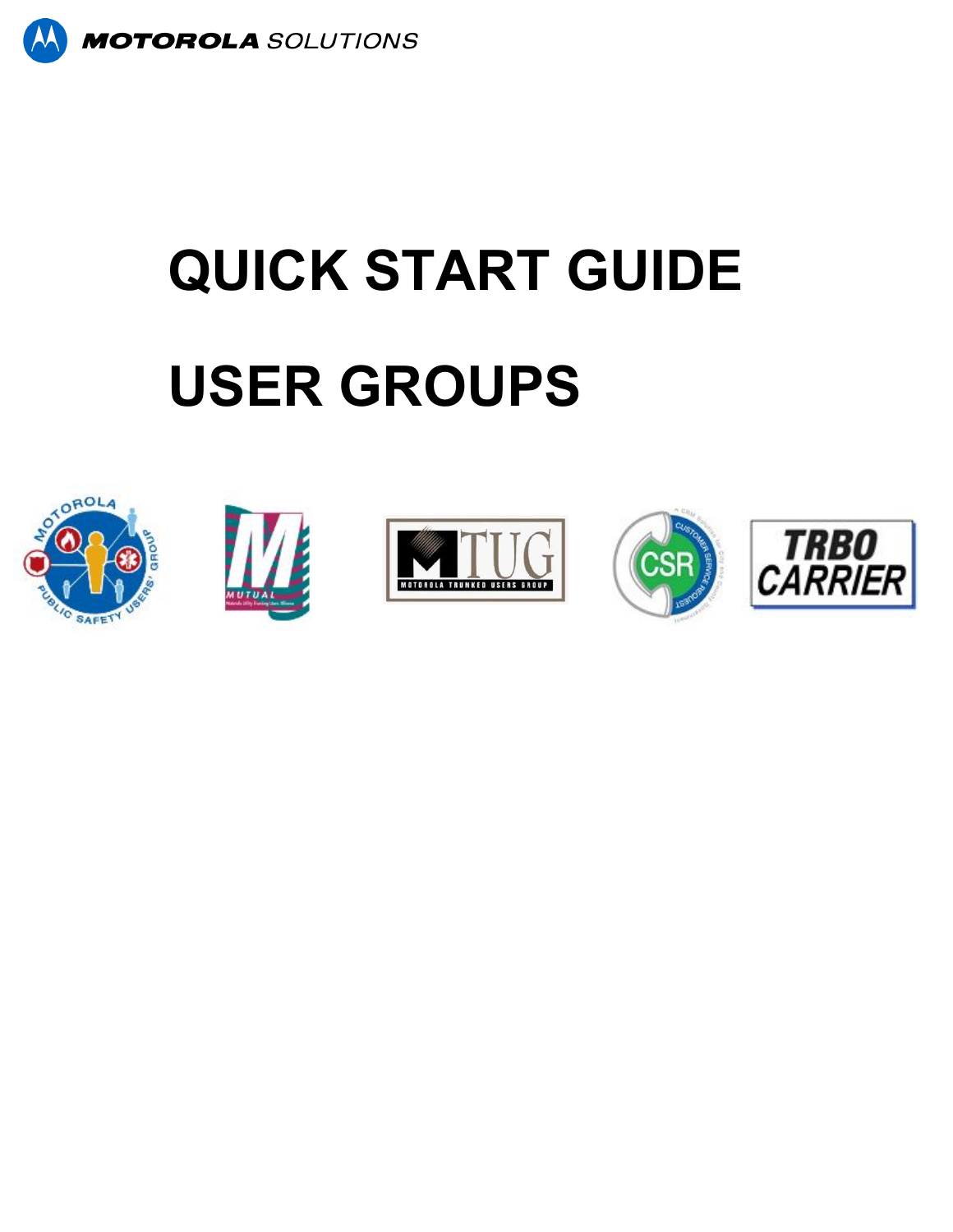

# **QUICK START GUIDE USER GROUPS**









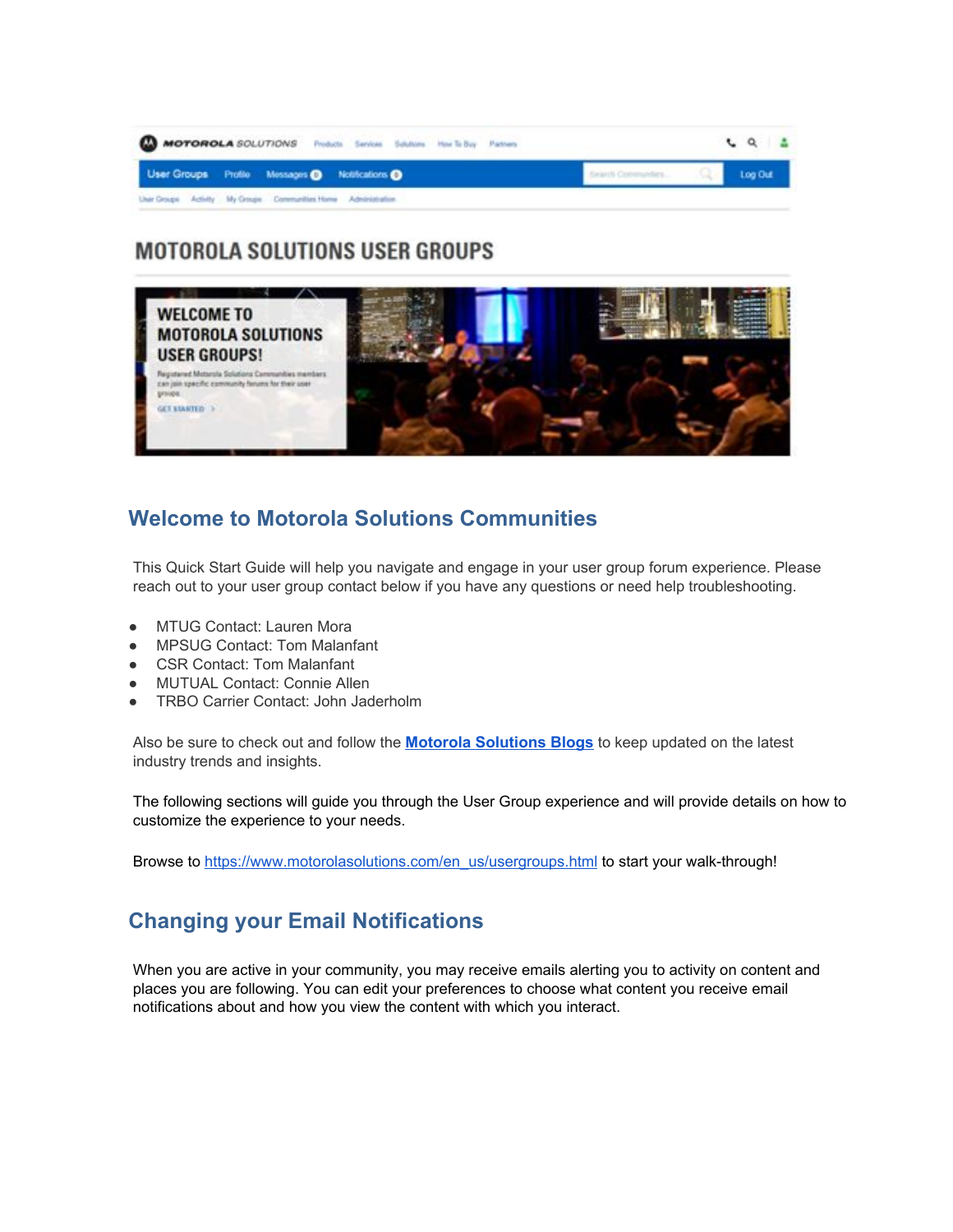

# **MOTOROLA SOLUTIONS USER GROUPS**



# **Welcome to Motorola Solutions Communities**

This Quick Start Guide will help you navigate and engage in your user group forum experience. Please reach out to your user group contact below if you have any questions or need help troubleshooting.

- **MTUG Contact: Lauren Mora**
- MPSUG Contact: Tom Malanfant
- CSR Contact: Tom Malanfant
- **MUTUAL Contact: Connie Allen**
- **TRBO Carrier Contact: John Jaderholm**

Also be sure to check out and follow the **[Motorola Solutions Blogs](http://www.motorolasolutions.com/en_us/communities.html)** to keep updated on the latest industry trends and insights.

The following sections will guide you through the User Group experience and will provide details on how to customize the experience to your needs.

Browse to [https://www.motorolasolutions.com/en\\_us/usergroups.html](https://www.motorolasolutions.com/en_us/usergroups.html) to start your walk-through!

# **Changing your Email Notifications**

When you are active in your community, you may receive emails alerting you to activity on content and places you are following. You can edit your preferences to choose what content you receive email notifications about and how you view the content with which you interact.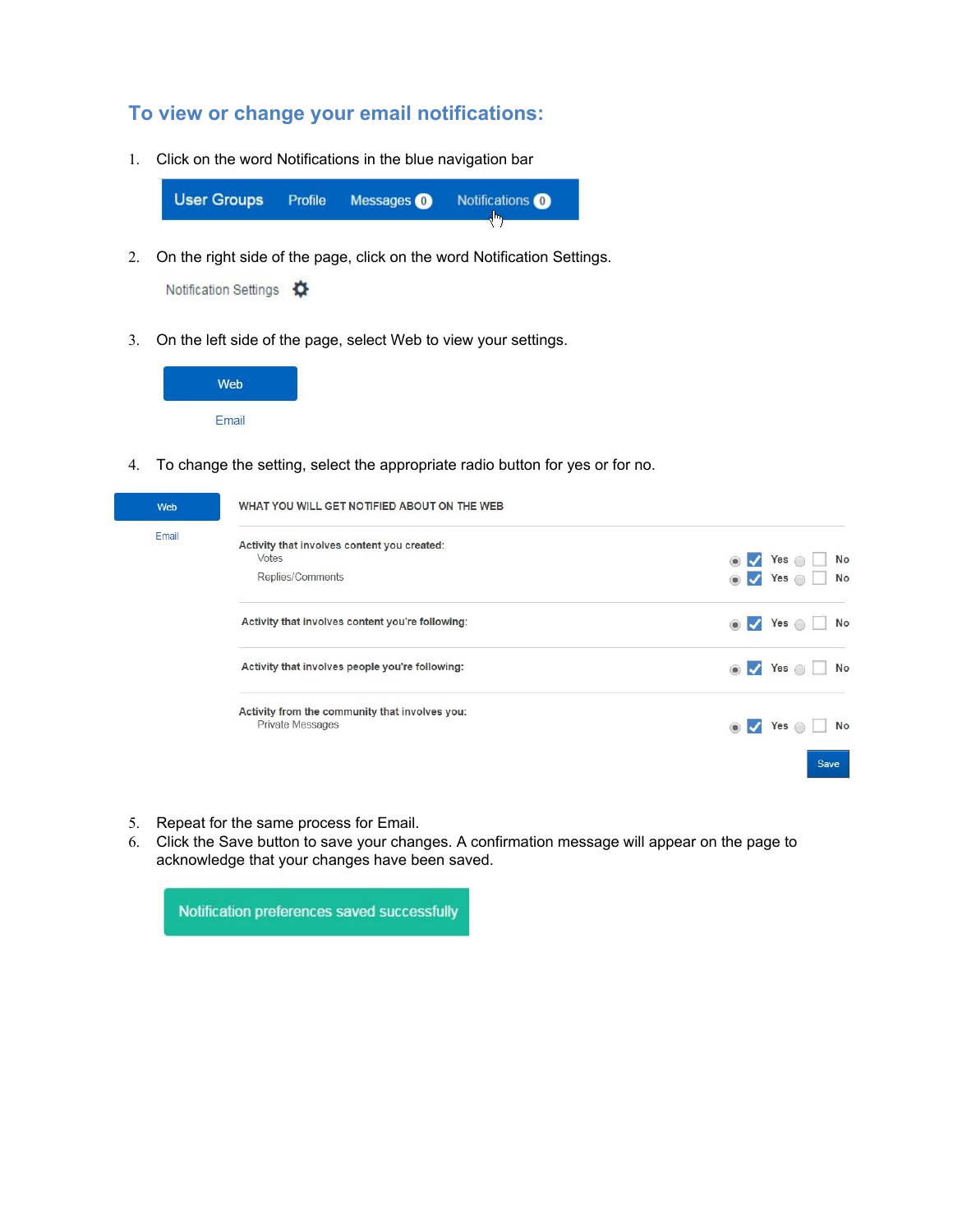### **To view or change your email notifications:**

1. Click on the word Notifications in the blue navigation bar

**User Groups** Profile Messages <sup>O</sup> Notifications<sup>O</sup> رام

2. On the right side of the page, click on the word Notification Settings.

Notification Settings  $\bullet$ 

3. On the left side of the page, select Web to view your settings.



4. To change the setting, select the appropriate radio button for yes or for no.

| Web   | WHAT YOU WILL GET NOTIFIED ABOUT ON THE WEB                               |                                                |
|-------|---------------------------------------------------------------------------|------------------------------------------------|
| Email | Activity that involves content you created:<br>Votes                      | Yes o<br><b>No</b>                             |
|       | Replies/Comments                                                          | <b>No</b><br>Yes o<br>$\overline{\mathcal{L}}$ |
|       | Activity that involves content you're following:                          | Yes o<br>No<br>$\boldsymbol{J}$                |
|       | Activity that involves people you're following:                           | Yes $\circ$<br><b>No</b><br>$\bullet$          |
|       | Activity from the community that involves you:<br><b>Private Messages</b> | <b>No</b><br>Yes                               |
|       |                                                                           | <b>Save</b>                                    |

- 5. Repeat for the same process for Email.
- 6. Click the Save button to save your changes. A confirmation message will appear on the page to acknowledge that your changes have been saved.

Notification preferences saved successfully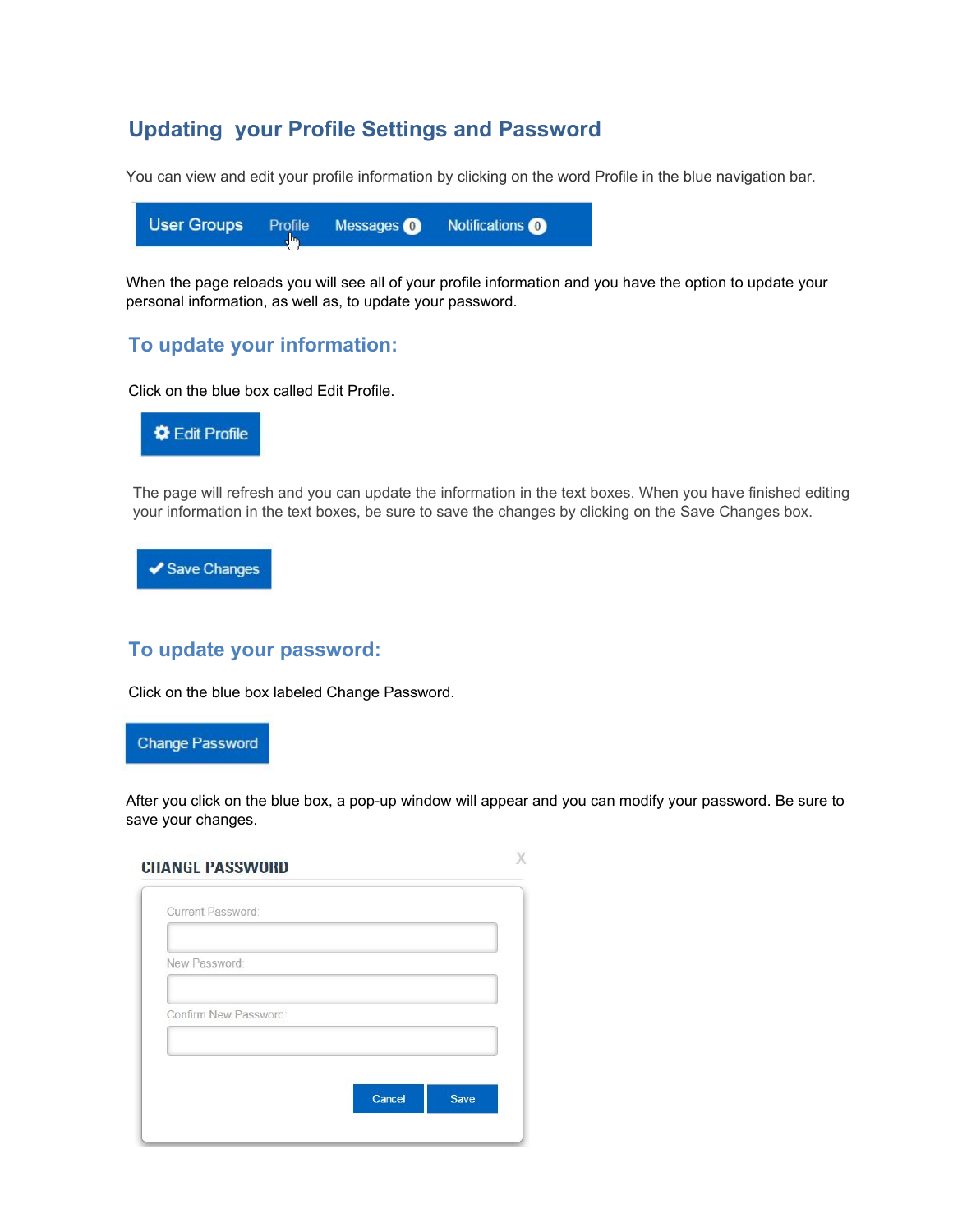# **Updating your Profile Settings and Password**

You can view and edit your profile information by clicking on the word Profile in the blue navigation bar.

|  |  |  | User Groups Profile Messages <b>O</b> Notifications <b>O</b> |  |
|--|--|--|--------------------------------------------------------------|--|
|--|--|--|--------------------------------------------------------------|--|

When the page reloads you will see all of your profile information and you have the option to update your personal information, as well as, to update your password.

## **To update your information:**

Click on the blue box called Edit Profile.



The page will refresh and you can update the information in the text boxes. When you have finished editing your information in the text boxes, be sure to save the changes by clicking on the Save Changes box.



#### **To update your password:**

Click on the blue box labeled Change Password.

**Change Password** 

After you click on the blue box, a pop-up window will appear and you can modify your password. Be sure to save your changes.

X

| <b>CHANGE PASSWORD</b> |  |
|------------------------|--|
|                        |  |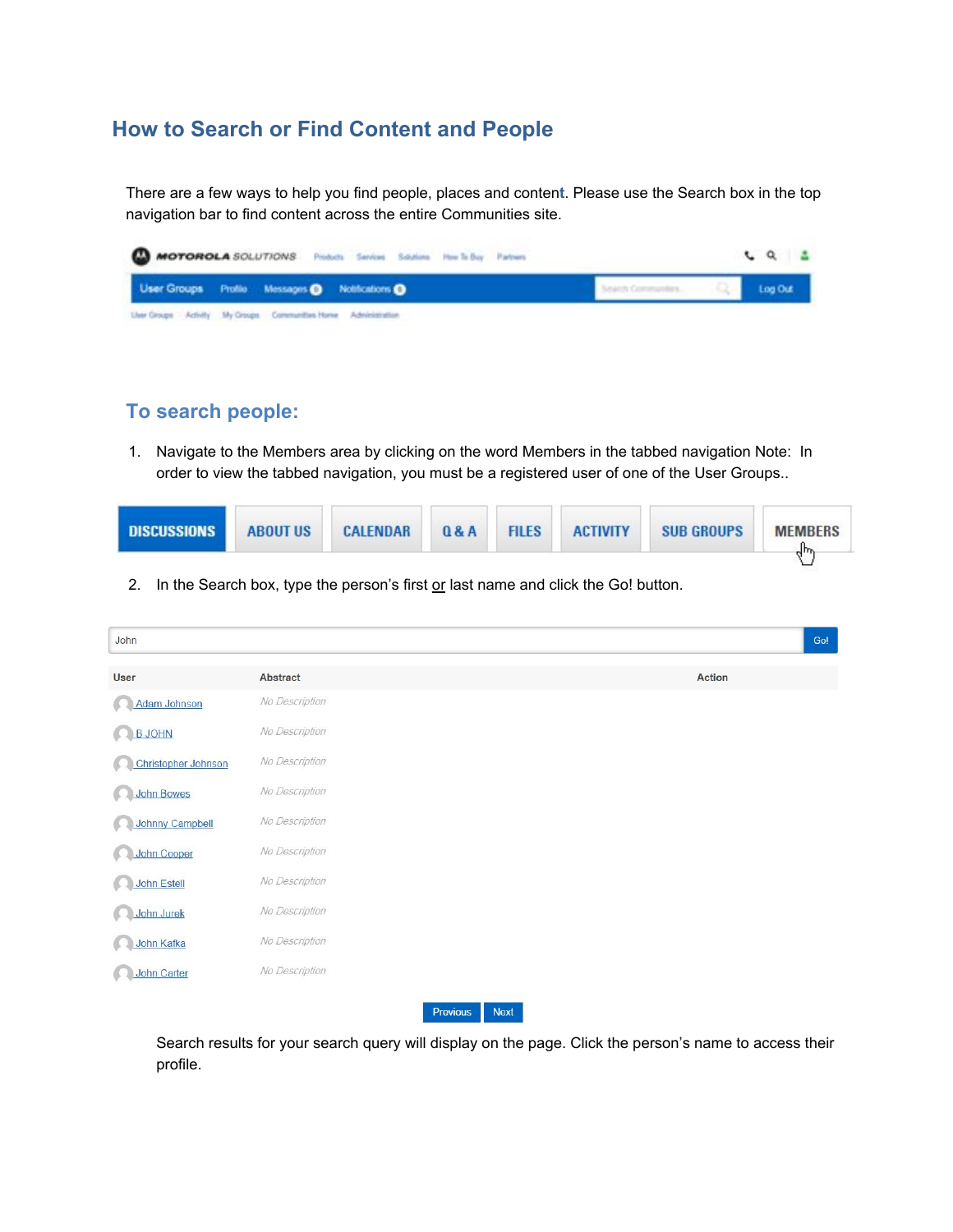# **How to Search or Find Content and People**

There are a few ways to help you find people, places and conten**t**. Please use the Search box in the top navigation bar to find content across the entire Communities site.

| <b>MOTOROLA</b> SOLUTIONS Probab Seriou Soldies Park By Patron  |                     | $CQ = 2$ |
|-----------------------------------------------------------------|---------------------|----------|
| User Groups Profile Messages @ Notifications                    | Seattly Communities | Log Out  |
| Liver Groups Activity My Groups Communities Home Administration |                     |          |

### **To search people:**

1. Navigate to the Members area by clicking on the word Members in the tabbed navigation Note: In order to view the tabbed navigation, you must be a registered user of one of the User Groups..

| <b>DISCUSSIONS</b> | <b>ABOUT US</b> | <b>CALENDAR</b> | 0&A | <b>FILES</b> | <b>ACTIVITY</b> | <b>SUB GROUPS</b> | <b>MEMBERS</b><br>վԽ |
|--------------------|-----------------|-----------------|-----|--------------|-----------------|-------------------|----------------------|
|                    |                 |                 |     |              |                 |                   |                      |

2. In the Search box, type the person's first or last name and click the Go! button.

| John                   |                         |        | Gol |
|------------------------|-------------------------|--------|-----|
| <b>User</b>            | Abstract                | Action |     |
| Adam Johnson<br>ß.     | No Description          |        |     |
| <b>B JOHN</b>          | No Description          |        |     |
| Christopher Johnson    | No Description          |        |     |
| <b>John Bowes</b>      | No Description          |        |     |
| <b>Johnny Campbell</b> | No Description          |        |     |
| <b>John Cooper</b>     | No Description          |        |     |
| <b>John Estell</b>     | No Description          |        |     |
| <b>John Jurek</b>      | No Description          |        |     |
| John Kafka             | No Description          |        |     |
| <b>John Carter</b>     | No Description          |        |     |
|                        | Previous<br><b>Next</b> |        |     |

Search results for your search query will display on the page. Click the person's name to access their profile.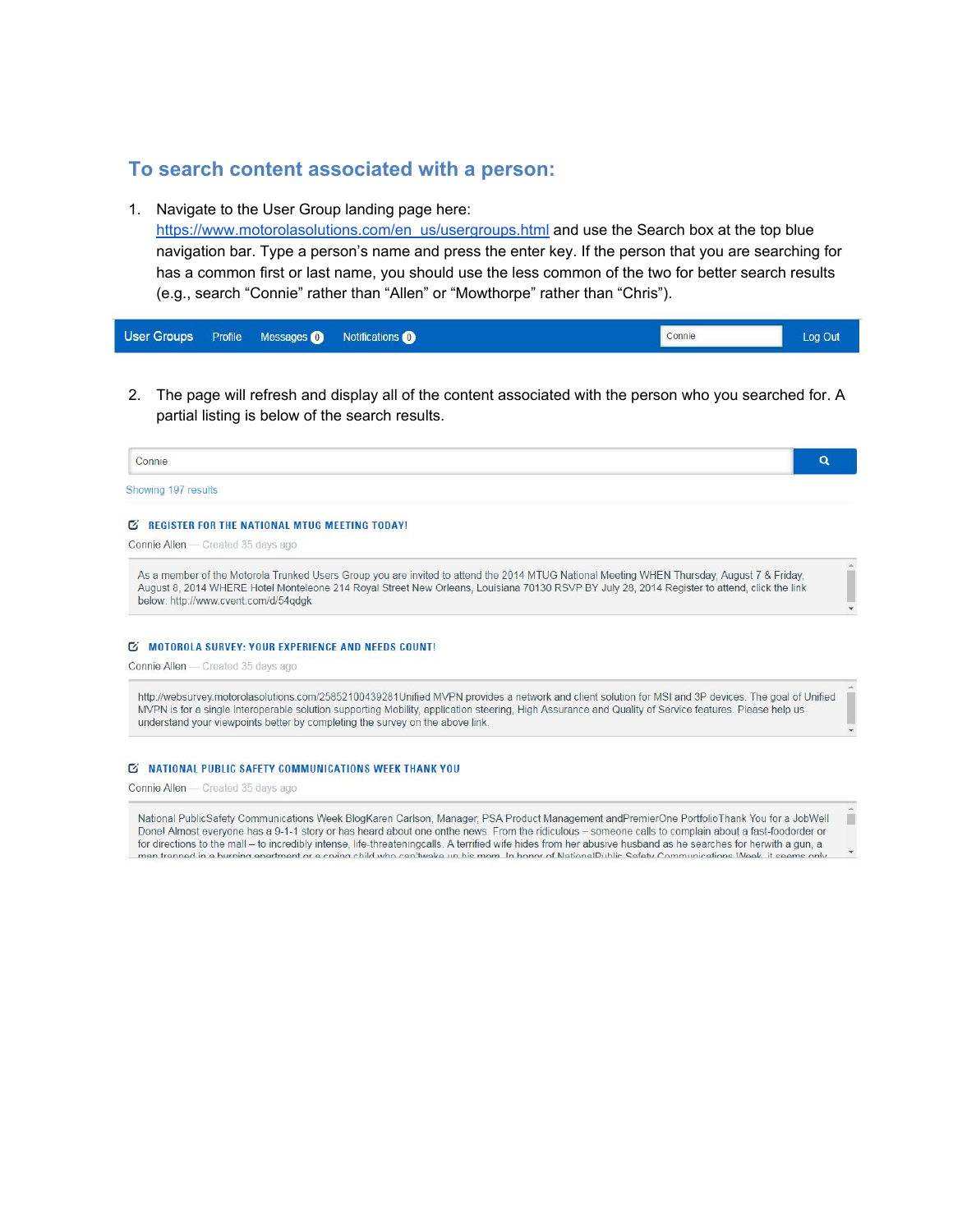#### **To search content associated with a person:**

1. Navigate to the User Group landing page here:

[https://www.motorolasolutions.com/en\\_us/usergroups.html](https://www.motorolasolutions.com/en_us/usergroups.html) and use the Search box at the top blue navigation bar. Type a person's name and press the enter key. If the person that you are searching for has a common first or last name, you should use the less common of the two for better search results (e.g., search "Connie" rather than "Allen" or "Mowthorpe" rather than "Chris").

|  | User Groups Profile Messages 1 Notifications 1 | Connie | Log Out |
|--|------------------------------------------------|--------|---------|
|  |                                                |        |         |

2. The page will refresh and display all of the content associated with the person who you searched for. A partial listing is below of the search results.

| Connie              |  |
|---------------------|--|
| Showing 197 results |  |
|                     |  |

#### **E REGISTER FOR THE NATIONAL MTUG MEETING TODAY!**

Connie Allen - Created 35 days ago

As a member of the Motorola Trunked Users Group you are invited to attend the 2014 MTUG National Meeting WHEN Thursday, August 7 & Friday, August 8, 2014 WHERE Hotel Monteleone 214 Royal Street New Orleans, Louisiana 70130 RSVP BY July 28, 2014 Register to attend, click the link below: http://www.cvent.com/d/54adak

#### **E MOTOROLA SURVEY: YOUR EXPERIENCE AND NEEDS COUNT!**

Connie Allen - Created 35 days ago

http://websurvey.motorolasolutions.com/25852100439281Unified MVPN provides a network and client solution for MSI and 3P devices. The goal of Unified MVPN is for a single interoperable solution supporting Mobility, application steering, High Assurance and Quality of Service features. Please help us understand your viewpoints better by completing the survey on the above link.

#### **E NATIONAL PUBLIC SAFETY COMMUNICATIONS WEEK THANK YOU**

Connie Allen - Created 35 days ago

National PublicSafety Communications Week BlogKaren Carlson, Manager, PSA Product Management andPremierOne PortfolioThank You for a JobWell Donel Almost everyone has a 9-1-1 story or has heard about one onthe news. From the ridiculous – someone calls to complain about a fast-foodorder or for directions to the mall – to incredibly intense, life-threateningcalls. A terrified wife hides from her abusive husband as he searches for herwith a gun, a man trannad in a hurning anartmant or a cruing child who can'twake un his mom. In honor of NationalPublic Safaty Communications Week it se

ш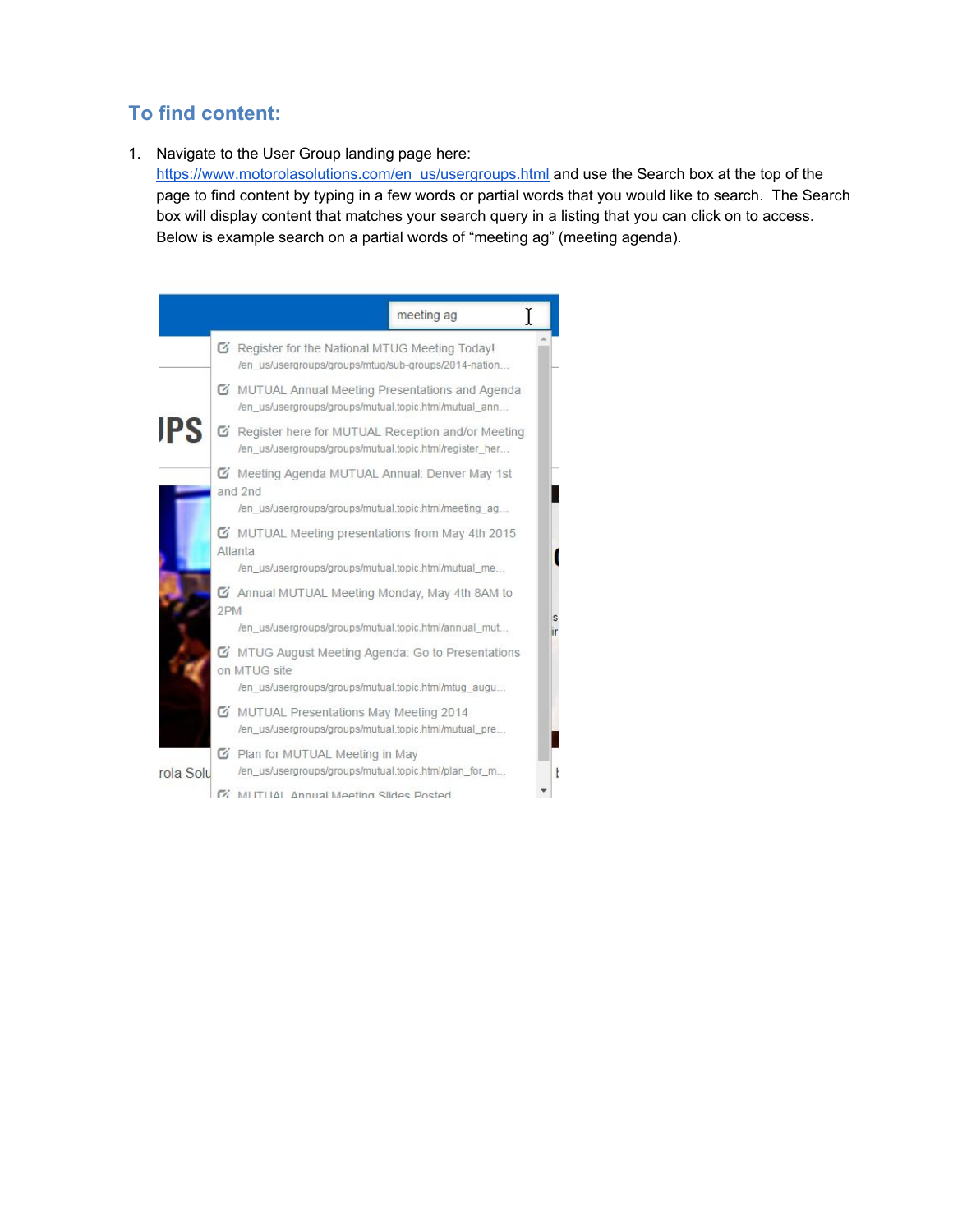## **To find content:**

1. Navigate to the User Group landing page here:

[https://www.motorolasolutions.com/en\\_us/usergroups.html](https://www.motorolasolutions.com/en_us/usergroups.html) and use the Search box at the top of the page to find content by typing in a few words or partial words that you would like to search. The Search box will display content that matches your search query in a listing that you can click on to access. Below is example search on a partial words of "meeting ag" (meeting agenda).

|            | meeting ag                                                                                                                |
|------------|---------------------------------------------------------------------------------------------------------------------------|
|            | <b>Z</b> Register for the National MTUG Meeting Today!<br>/en_us/usergroups/groups/mtug/sub-groups/2014-nation            |
|            | <b>E</b> MUTUAL Annual Meeting Presentations and Agenda<br>/en_us/usergroups/groups/mutual.topic.html/mutual_ann          |
| <b>IPS</b> | G Register here for MUTUAL Reception and/or Meeting<br>/en_us/usergroups/groups/mutual.topic.html/register_her            |
|            | Meeting Agenda MUTUAL Annual: Denver May 1st<br>and 2nd<br>/en_us/usergroups/groups/mutual.topic.html/meeting_ag          |
|            | MUTUAL Meeting presentations from May 4th 2015<br>Atlanta<br>/en us/usergroups/groups/mutual.topic.html/mutual_me         |
|            | 4th 8AM to Annual MUTUAL Meeting Monday, May 4th 8AM to<br>2PM<br>/en us/usergroups/groups/mutual.topic.html/annual mut   |
|            | K MTUG August Meeting Agenda: Go to Presentations<br>on MTUG site<br>/en us/usergroups/groups/mutual.topic.html/mtug_augu |
|            | MUTUAL Presentations May Meeting 2014<br>/en_us/usergroups/groups/mutual.topic.html/mutual_pre                            |
| rola Solu  | ■ Plan for MUTUAL Meeting in May<br>/en us/usergroups/groups/mutual.topic.html/plan_for_m                                 |
|            | MUTUAL Annual Meeting Slides Posted                                                                                       |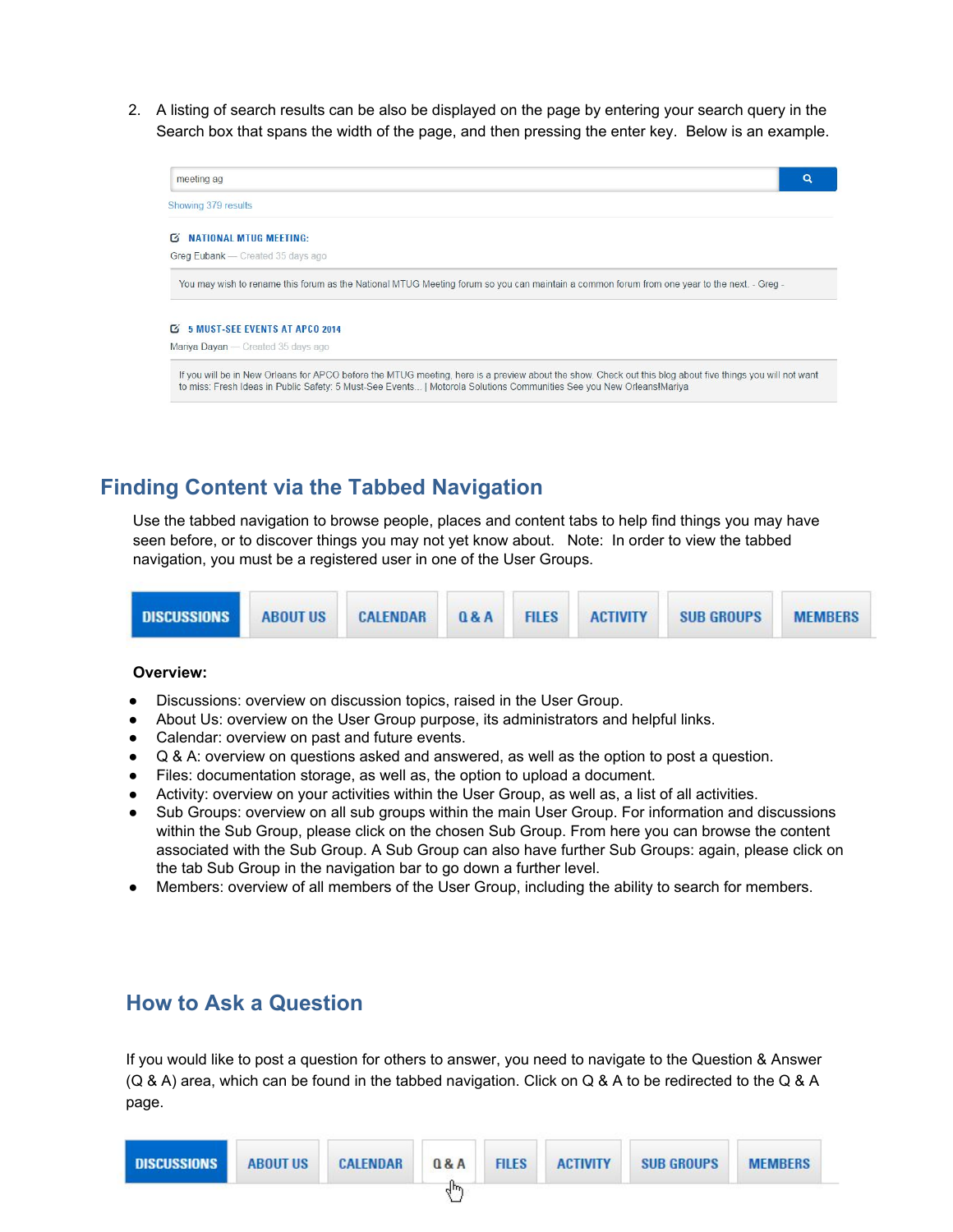2. A listing of search results can be also be displayed on the page by entering your search query in the Search box that spans the width of the page, and then pressing the enter key. Below is an example.



# **Finding Content via the Tabbed Navigation**

Use the tabbed navigation to browse people, places and content tabs to help find things you may have seen before, or to discover things you may not yet know about. Note: In order to view the tabbed navigation, you must be a registered user in one of the User Groups.



#### **Overview:**

- Discussions: overview on discussion topics, raised in the User Group.
- About Us: overview on the User Group purpose, its administrators and helpful links.
- Calendar: overview on past and future events.
- Q & A: overview on questions asked and answered, as well as the option to post a question.
- Files: documentation storage, as well as, the option to upload a document.
- Activity: overview on your activities within the User Group, as well as, a list of all activities.
- Sub Groups: overview on all sub groups within the main User Group. For information and discussions within the Sub Group, please click on the chosen Sub Group. From here you can browse the content associated with the Sub Group. A Sub Group can also have further Sub Groups: again, please click on the tab Sub Group in the navigation bar to go down a further level.
- Members: overview of all members of the User Group, including the ability to search for members.

## **How to Ask a Question**

If you would like to post a question for others to answer, you need to navigate to the Question & Answer (Q & A) area, which can be found in the tabbed navigation. Click on Q & A to be redirected to the Q & A page.

| <b>DISCUSSIONS</b> | <b>ABOUT US</b> | CALENDAR | 0.8A | <b>FILES</b> | <b>ACTIVITY</b> | <b>SUB GROUPS</b> | <b>MEMBERS</b> |
|--------------------|-----------------|----------|------|--------------|-----------------|-------------------|----------------|
|                    |                 |          | ⊿m   |              |                 |                   |                |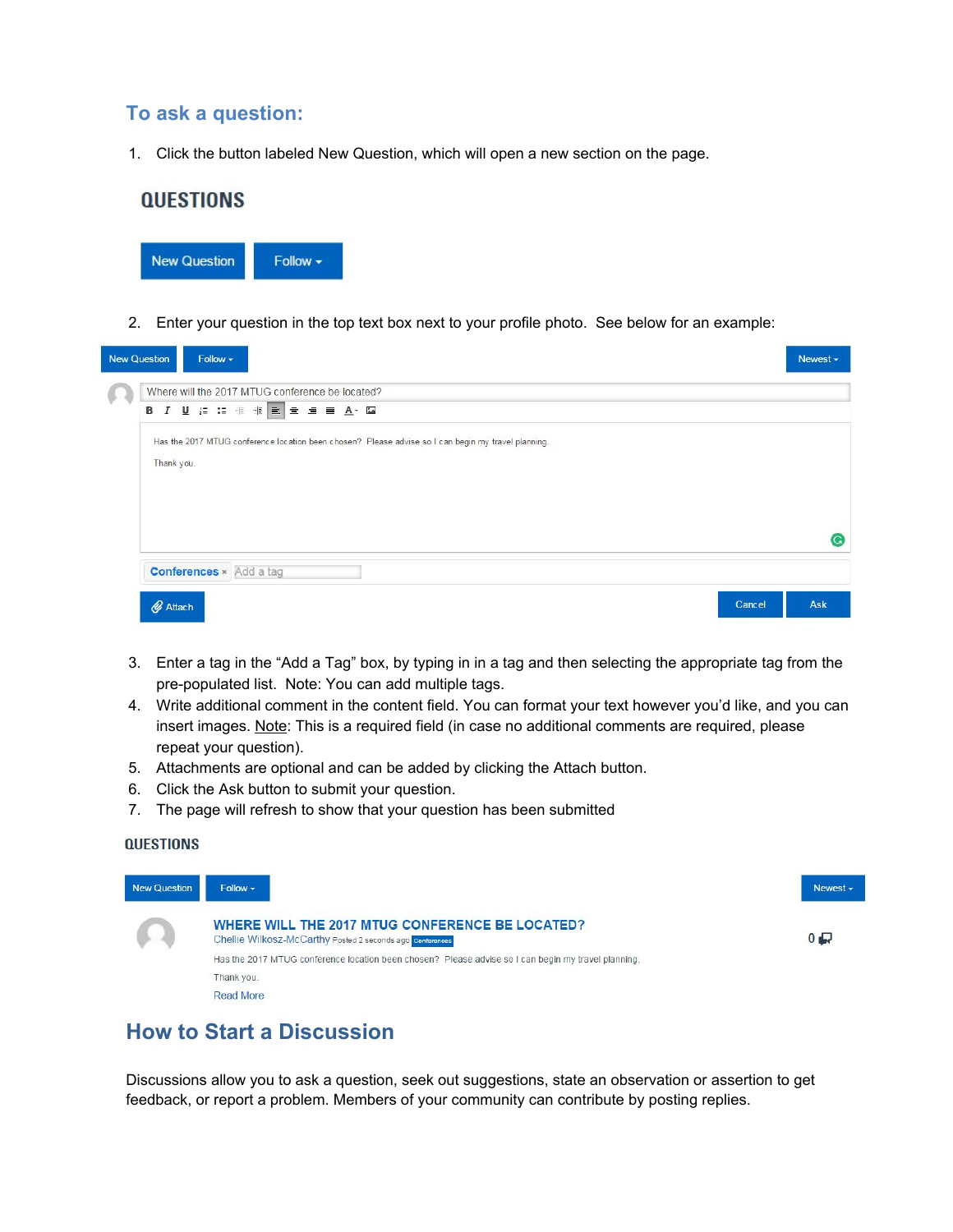#### **To ask a question:**

1. Click the button labeled New Question, which will open a new section on the page.

# **QUESTIONS**



2. Enter your question in the top text box next to your profile photo. See below for an example:

| <b>New Question</b> | Follow -                                                                                                          | Newest - |
|---------------------|-------------------------------------------------------------------------------------------------------------------|----------|
|                     | Where will the 2017 MTUG conference be located?                                                                   |          |
|                     |                                                                                                                   |          |
|                     | Has the 2017 MTUG conference location been chosen? Please advise so I can begin my travel planning.<br>Thank you. |          |
|                     |                                                                                                                   |          |
|                     |                                                                                                                   | C.       |
|                     |                                                                                                                   |          |
|                     | <b>Conferences</b> × Add a tag                                                                                    |          |
|                     | Attach<br>Cancel                                                                                                  | Ask      |

- 3. Enter a tag in the "Add a Tag" box, by typing in in a tag and then selecting the appropriate tag from the pre-populated list. Note: You can add multiple tags.
- 4. Write additional comment in the content field. You can format your text however you'd like, and you can insert images. Note: This is a required field (in case no additional comments are required, please repeat your question).
- 5. Attachments are optional and can be added by clicking the Attach button.
- 6. Click the Ask button to submit your question.
- 7. The page will refresh to show that your question has been submitted

#### **QUESTIONS**



## **How to Start a Discussion**

Discussions allow you to ask a question, seek out suggestions, state an observation or assertion to get feedback, or report a problem. Members of your community can contribute by posting replies.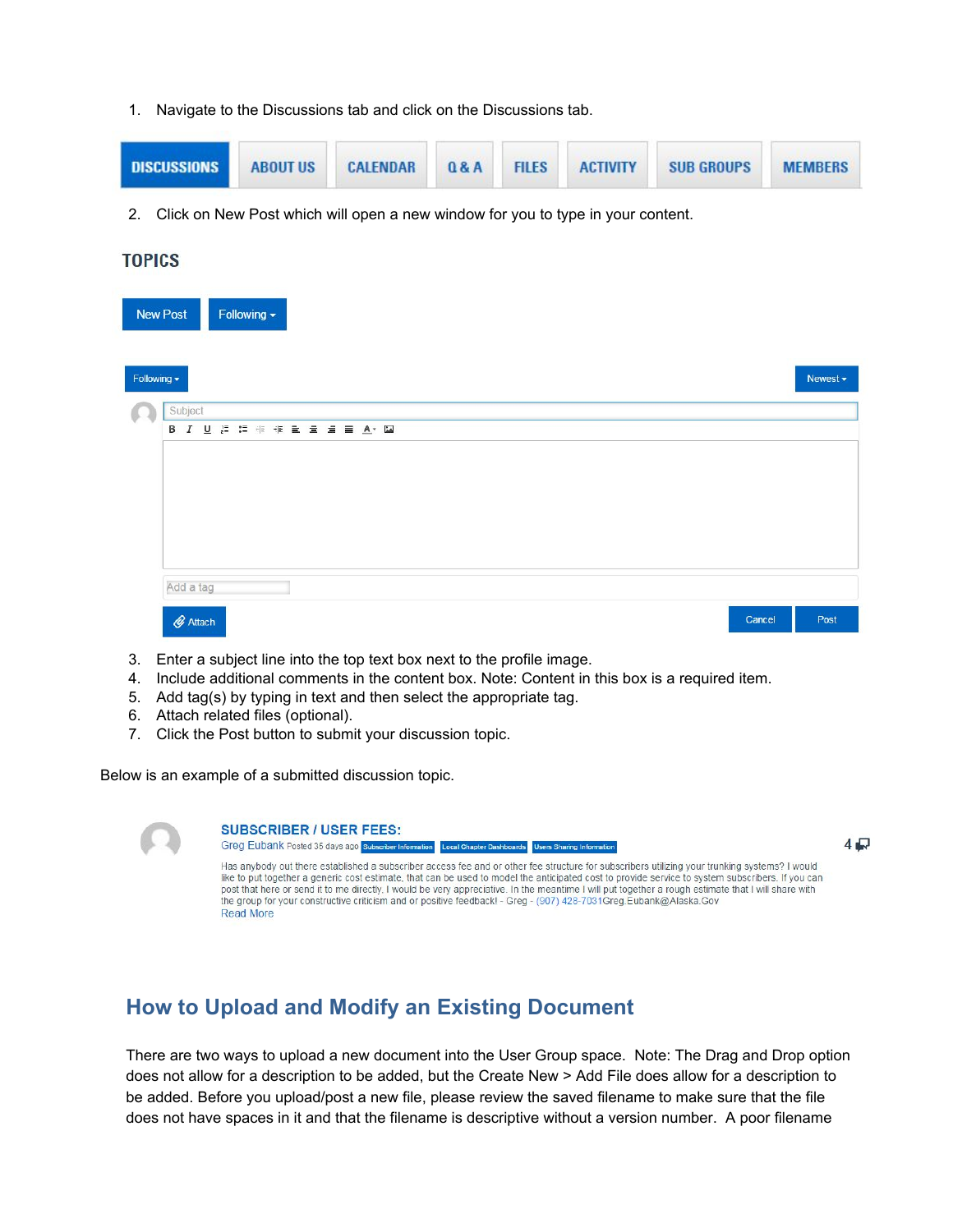1. Navigate to the Discussions tab and click on the Discussions tab.



2. Click on New Post which will open a new window for you to type in your content.

#### **TOPICS**

| Following -<br><b>New Post</b> |        |               |
|--------------------------------|--------|---------------|
| Following -                    |        | Newest $\sim$ |
| Subject                        |        |               |
|                                |        |               |
|                                |        |               |
|                                |        |               |
|                                |        |               |
|                                |        |               |
|                                |        |               |
|                                |        |               |
| Add a tag                      |        |               |
| $2$ Attach                     | Cancel | Post          |
|                                |        |               |

- 3. Enter a subject line into the top text box next to the profile image.
- 4. Include additional comments in the content box. Note: Content in this box is a required item.
- 5. Add tag(s) by typing in text and then select the appropriate tag.
- 6. Attach related files (optional).
- 7. Click the Post button to submit your discussion topic.

Below is an example of a submitted discussion topic.

**SUBSCRIBER / USER FEES:** Greg Eubank Posted 35 days ago Subscriber Information Local Chapter Dashboards Users Sharing Information  $4\Box$ Has anybody out there established a subscriber access fee and or other fee structure for subscribers utilizing your trunking systems? I would like to put together a generic cost estimate, that can be used to model the anticipated cost to provide service to system subscribers. If you can post that here or send it to me directly, I would be very appreciative. In the meantime I will put together a rough estimate that I will share with the group for your constructive criticism and or positive feedback! - Greg - (907) 428-7031Greg.Eubank@Alaska.Gov **Read More** 

# **How to Upload and Modify an Existing Document**

There are two ways to upload a new document into the User Group space. Note: The Drag and Drop option does not allow for a description to be added, but the Create New > Add File does allow for a description to be added. Before you upload/post a new file, please review the saved filename to make sure that the file does not have spaces in it and that the filename is descriptive without a version number. A poor filename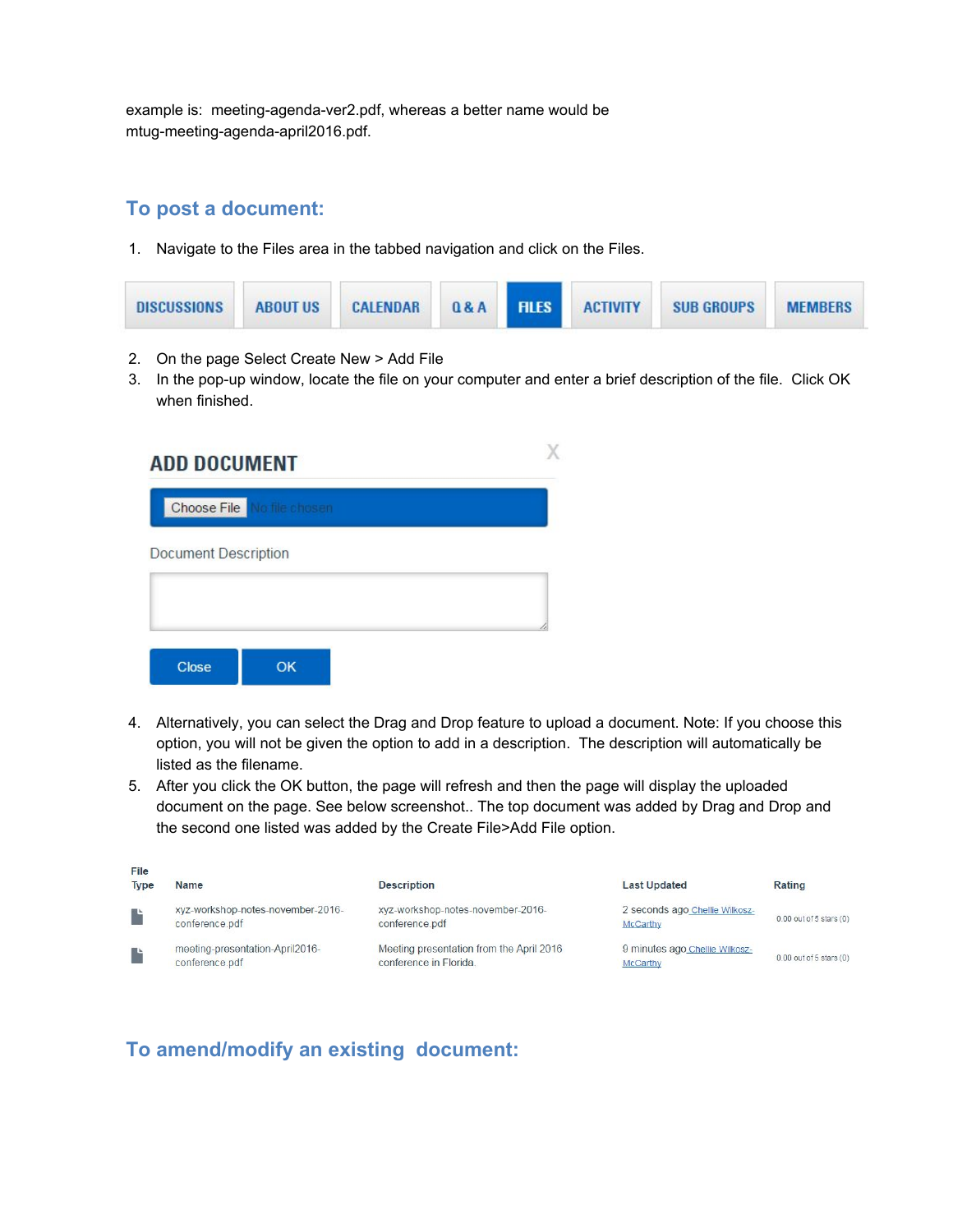example is: meeting-agenda-ver2.pdf, whereas a better name would be mtug-meeting-agenda-april2016.pdf.

#### **To post a document:**

1. Navigate to the Files area in the tabbed navigation and click on the Files.

| <b>DISCUSSIONS</b> | <b>ABOUT US</b> | <b>CALENDAR</b> |  |  | <b>Q&amp;A FILES ACTIVITY</b> | SUB GROUPS | <b>MEMBERS</b> |
|--------------------|-----------------|-----------------|--|--|-------------------------------|------------|----------------|
|--------------------|-----------------|-----------------|--|--|-------------------------------|------------|----------------|

- 2. On the page Select Create New > Add File
- 3. In the pop-up window, locate the file on your computer and enter a brief description of the file. Click OK when finished.

| <b>ADD DOCUMENT</b>         |  |
|-----------------------------|--|
| Choose File No file chosen  |  |
| <b>Document Description</b> |  |
|                             |  |
| <b>Close</b><br>OK          |  |

- 4. Alternatively, you can select the Drag and Drop feature to upload a document. Note: If you choose this option, you will not be given the option to add in a description. The description will automatically be listed as the filename.
- 5. After you click the OK button, the page will refresh and then the page will display the uploaded document on the page. See below screenshot.. The top document was added by Drag and Drop and the second one listed was added by the Create File>Add File option.

| File<br><b>Type</b> | <b>Name</b>                                         | <b>Description</b>                                                 | <b>Last Updated</b>                        | Rating                      |
|---------------------|-----------------------------------------------------|--------------------------------------------------------------------|--------------------------------------------|-----------------------------|
|                     | xyz-workshop-notes-november-2016-<br>conference.pdf | xyz-workshop-notes-november-2016-<br>conference.pdf                | 2 seconds ago Chellie Wilkosz-<br>McCarthy | 0.00 out of 5 stars (0)     |
|                     | meeting-presentation-April2016-<br>conference.pdf   | Meeting presentation from the April 2016<br>conference in Florida. | 9 minutes ago Chellie Wilkosz-<br>McCarthy | $0.00$ out of 5 stars $(0)$ |

## **To amend/modify an existing document:**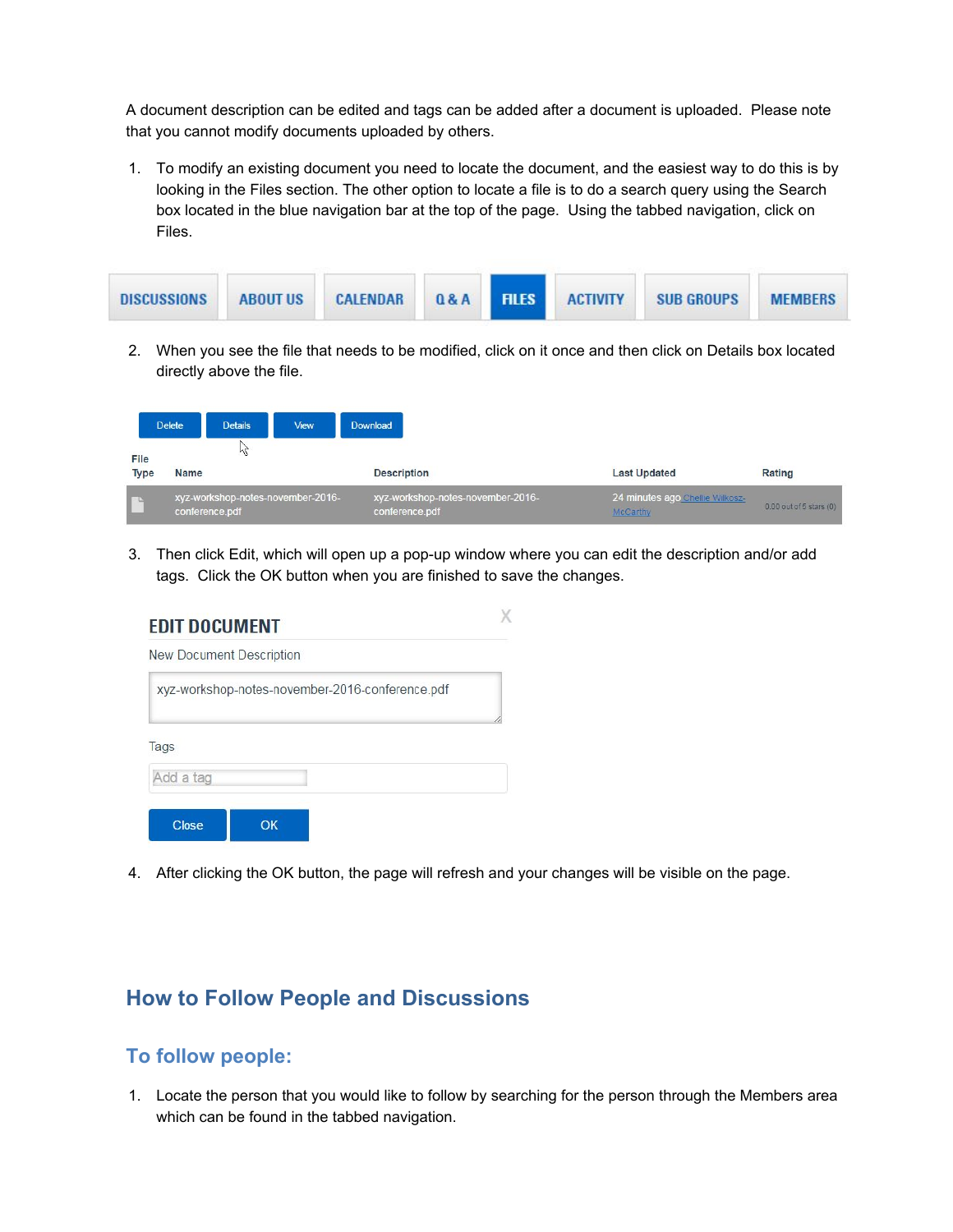A document description can be edited and tags can be added after a document is uploaded. Please note that you cannot modify documents uploaded by others.

1. To modify an existing document you need to locate the document, and the easiest way to do this is by looking in the Files section. The other option to locate a file is to do a search query using the Search box located in the blue navigation bar at the top of the page. Using the tabbed navigation, click on Files.

| <b>ABOUT US</b><br><b>DISCUSSIONS</b> | <b>CALENDAR 0&amp;A FILES ACTIVITY</b> | <b>SUB GROUPS</b><br><b>MFMBFRS</b> |
|---------------------------------------|----------------------------------------|-------------------------------------|
|---------------------------------------|----------------------------------------|-------------------------------------|

2. When you see the file that needs to be modified, click on it once and then click on Details box located directly above the file.

|                     | <b>Delete</b> | <b>Details</b> | View                              | Download                                            |                                             |                             |
|---------------------|---------------|----------------|-----------------------------------|-----------------------------------------------------|---------------------------------------------|-----------------------------|
| File<br><b>Type</b> | <b>Name</b>   | ΜĻ             |                                   | <b>Description</b>                                  | <b>Last Updated</b>                         | Rating                      |
| r                   |               | conference.pdf | xyz-workshop-notes-november-2016- | xyz-workshop-notes-november-2016-<br>conference.pdf | 24 minutes ago Chellie Wilkosz-<br>McCarthy | $0.00$ out of 5 stars $(0)$ |

3. Then click Edit, which will open up a pop-up window where you can edit the description and/or add tags. Click the OK button when you are finished to save the changes.

| <b>New Document Description</b> |                                                 |
|---------------------------------|-------------------------------------------------|
|                                 | xyz-workshop-notes-november-2016-conference.pdf |
|                                 |                                                 |
| Tags                            |                                                 |

4. After clicking the OK button, the page will refresh and your changes will be visible on the page.

# **How to Follow People and Discussions**

#### **To follow people:**

1. Locate the person that you would like to follow by searching for the person through the Members area which can be found in the tabbed navigation.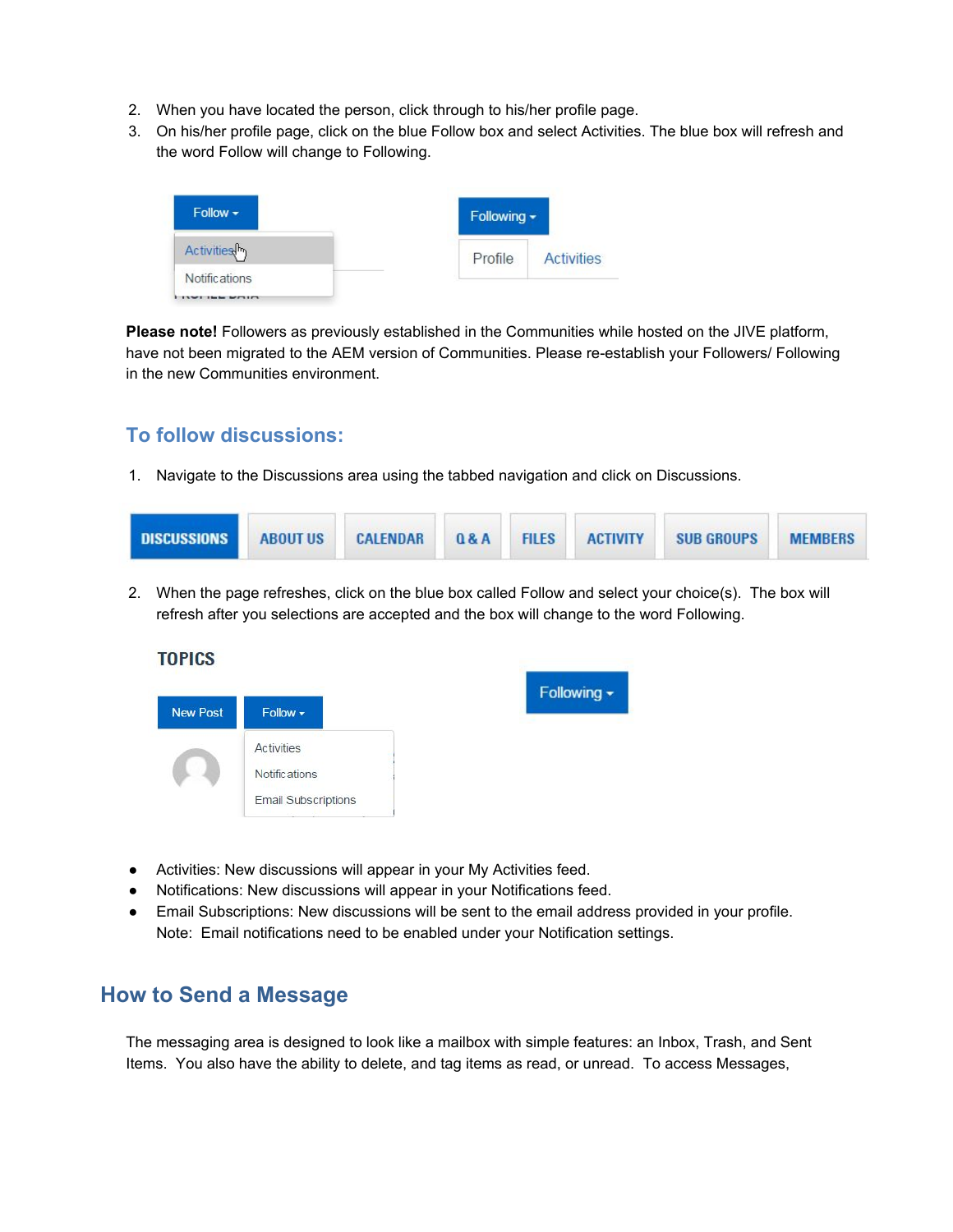- 2. When you have located the person, click through to his/her profile page.
- 3. On his/her profile page, click on the blue Follow box and select Activities. The blue box will refresh and the word Follow will change to Following.

| $F$ ollow $\star$       | Following -                  |
|-------------------------|------------------------------|
| Activities <sup>h</sup> | Profile<br><b>Activities</b> |
| Notific ations          |                              |

**Please note!** Followers as previously established in the Communities while hosted on the JIVE platform, have not been migrated to the AEM version of Communities. Please re-establish your Followers/ Following in the new Communities environment.

### **To follow discussions:**

1. Navigate to the Discussions area using the tabbed navigation and click on Discussions.

2. When the page refreshes, click on the blue box called Follow and select your choice(s). The box will refresh after you selections are accepted and the box will change to the word Following.



- Activities: New discussions will appear in your My Activities feed.
- Notifications: New discussions will appear in your Notifications feed.
- Email Subscriptions: New discussions will be sent to the email address provided in your profile. Note: Email notifications need to be enabled under your Notification settings.

# **How to Send a Message**

The messaging area is designed to look like a mailbox with simple features: an Inbox, Trash, and Sent Items. You also have the ability to delete, and tag items as read, or unread. To access Messages,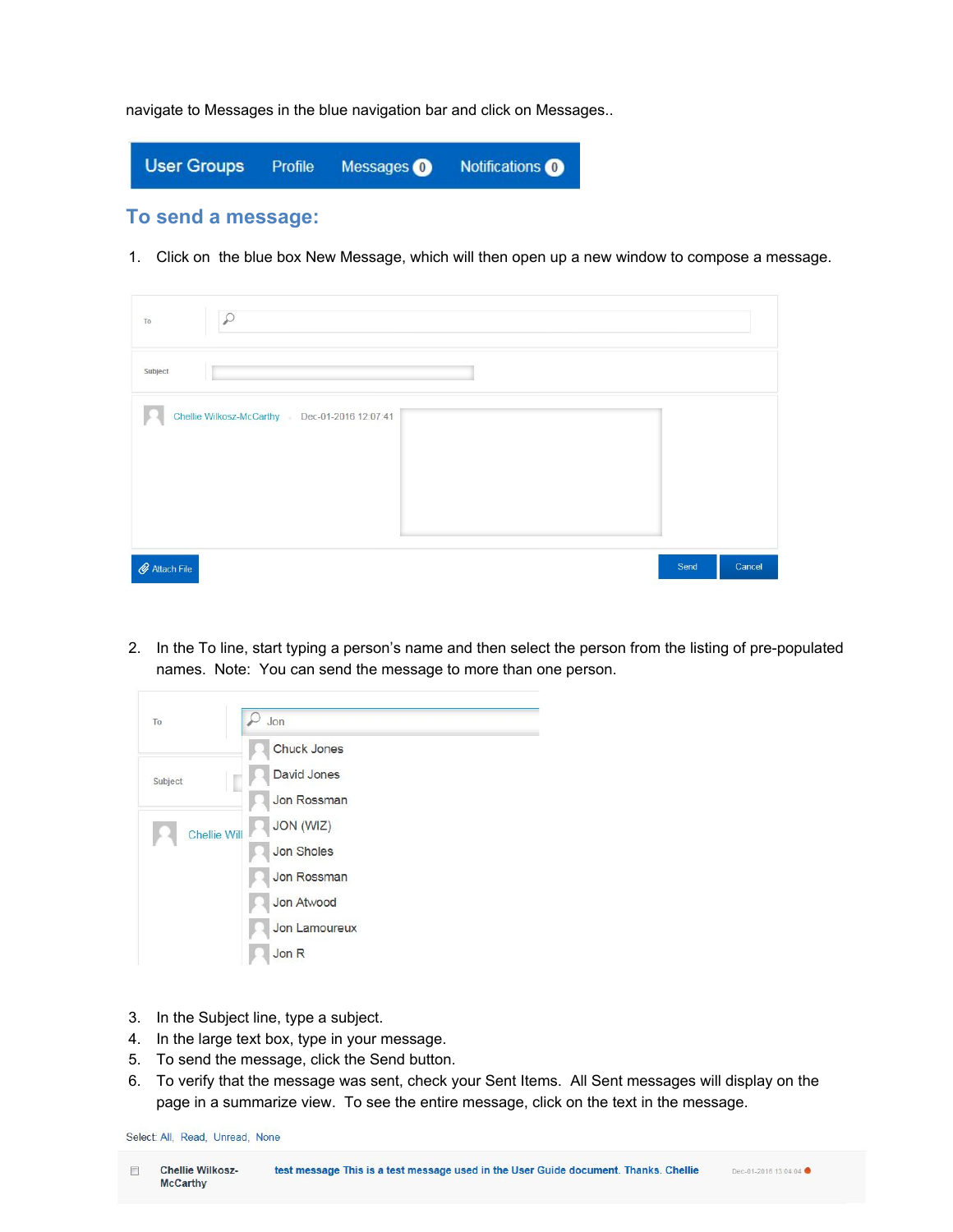navigate to Messages in the blue navigation bar and click on Messages..



1. Click on the blue box New Message, which will then open up a new window to compose a message.

| $\mathcal{Q}$<br>To                           |                |
|-----------------------------------------------|----------------|
| Subject                                       |                |
| Chellie Wilkosz-McCarthy Dec-01-2016 12:07:41 |                |
| $\mathscr Q$ Attach File                      | Send<br>Cancel |

2. In the To line, start typing a person's name and then select the person from the listing of pre-populated names. Note: You can send the message to more than one person.



- 3. In the Subject line, type a subject.
- 4. In the large text box, type in your message.
- 5. To send the message, click the Send button.
- 6. To verify that the message was sent, check your Sent Items. All Sent messages will display on the page in a summarize view. To see the entire message, click on the text in the message.

Select: All, Read, Unread, None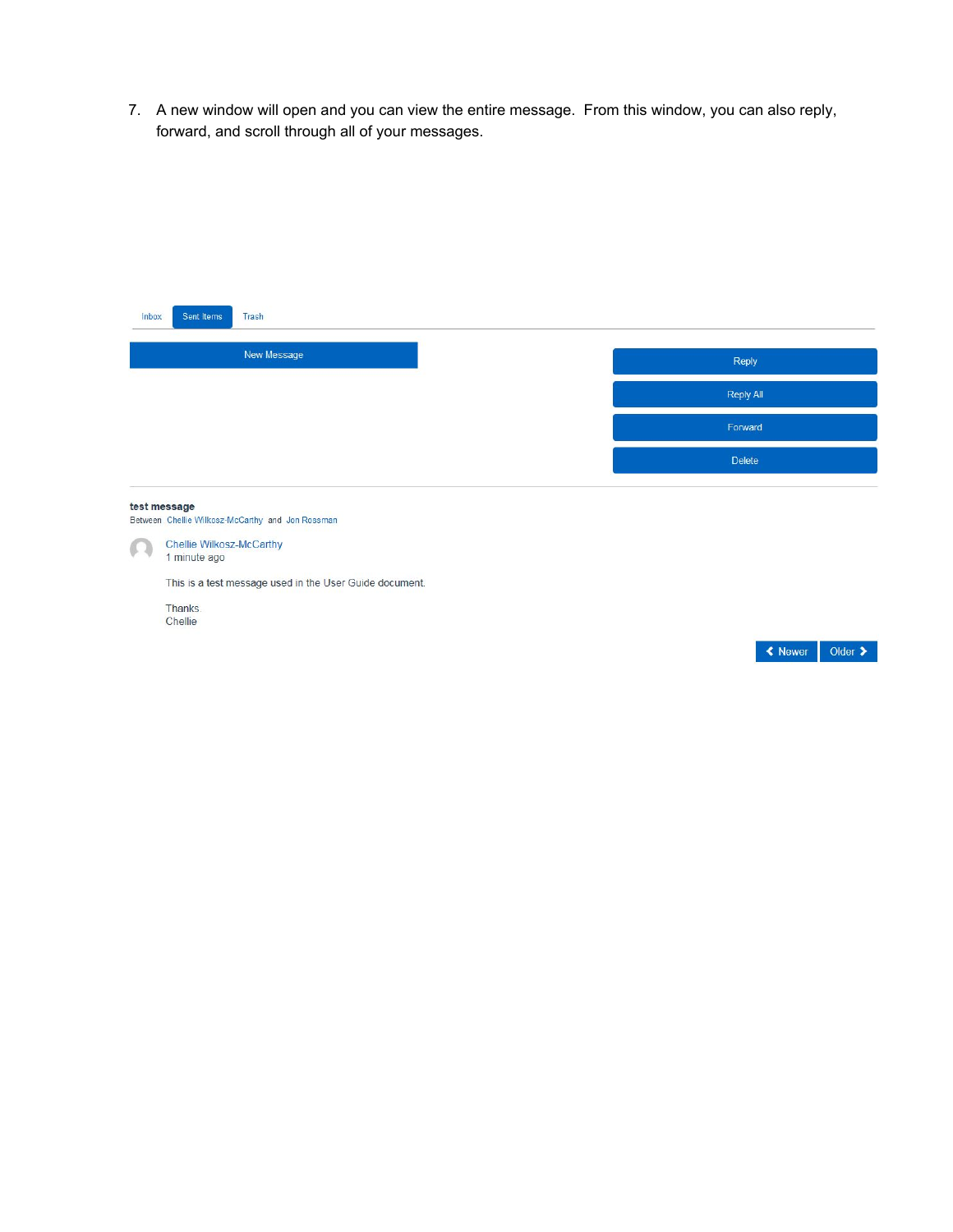7. A new window will open and you can view the entire message. From this window, you can also reply, forward, and scroll through all of your messages.

| Inbox                    | Sent Items                                                     | <b>Trash</b>                                                                                                |                  |                |                             |
|--------------------------|----------------------------------------------------------------|-------------------------------------------------------------------------------------------------------------|------------------|----------------|-----------------------------|
|                          |                                                                | New Message                                                                                                 |                  |                |                             |
|                          |                                                                |                                                                                                             | Reply            |                |                             |
|                          |                                                                |                                                                                                             | <b>Reply All</b> |                |                             |
|                          |                                                                |                                                                                                             | Forward          |                |                             |
|                          |                                                                |                                                                                                             | <b>Delete</b>    |                |                             |
| test message<br>$\Omega$ | Chellie Wilkosz-McCarthy<br>1 minute ago<br>Thanks.<br>Chellie | Between Chellie Wilkosz-McCarthy and Jon Rossman<br>This is a test message used in the User Guide document. |                  |                |                             |
|                          |                                                                |                                                                                                             |                  | <b>≮</b> Newer | Older $\blacktriangleright$ |